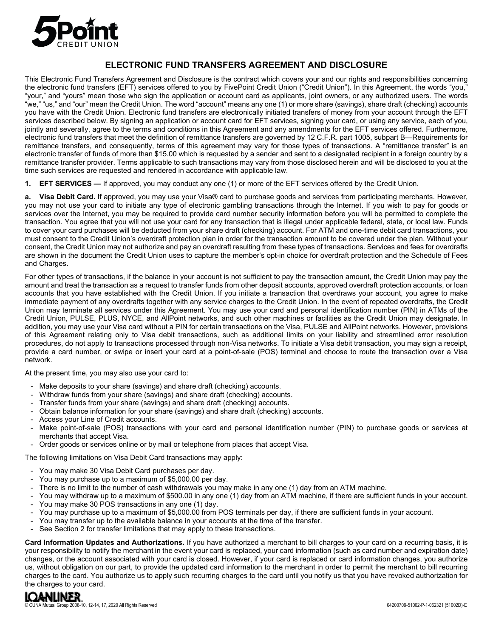

# **ELECTRONIC FUND TRANSFERS AGREEMENT AND DISCLOSURE**

This Electronic Fund Transfers Agreement and Disclosure is the contract which covers your and our rights and responsibilities concerning the electronic fund transfers (EFT) services offered to you by FivePoint Credit Union ("Credit Union"). In this Agreement, the words "you," "your," and "yours" mean those who sign the application or account card as applicants, joint owners, or any authorized users. The words "we," "us," and "our" mean the Credit Union. The word "account" means any one (1) or more share (savings), share draft (checking) accounts you have with the Credit Union. Electronic fund transfers are electronically initiated transfers of money from your account through the EFT services described below. By signing an application or account card for EFT services, signing your card, or using any service, each of you, jointly and severally, agree to the terms and conditions in this Agreement and any amendments for the EFT services offered. Furthermore, electronic fund transfers that meet the definition of remittance transfers are governed by 12 C.F.R. part 1005, subpart B—Requirements for remittance transfers, and consequently, terms of this agreement may vary for those types of transactions. A "remittance transfer" is an electronic transfer of funds of more than \$15.00 which is requested by a sender and sent to a designated recipient in a foreign country by a remittance transfer provider. Terms applicable to such transactions may vary from those disclosed herein and will be disclosed to you at the time such services are requested and rendered in accordance with applicable law.

**1. EFT SERVICES —** If approved, you may conduct any one (1) or more of the EFT services offered by the Credit Union.

**a. Visa Debit Card.** If approved, you may use your Visa® card to purchase goods and services from participating merchants. However, you may not use your card to initiate any type of electronic gambling transactions through the Internet. If you wish to pay for goods or services over the Internet, you may be required to provide card number security information before you will be permitted to complete the transaction. You agree that you will not use your card for any transaction that is illegal under applicable federal, state, or local law. Funds to cover your card purchases will be deducted from your share draft (checking) account. For ATM and one-time debit card transactions, you must consent to the Credit Union's overdraft protection plan in order for the transaction amount to be covered under the plan. Without your consent, the Credit Union may not authorize and pay an overdraft resulting from these types of transactions. Services and fees for overdrafts are shown in the document the Credit Union uses to capture the member's opt-in choice for overdraft protection and the Schedule of Fees and Charges.

For other types of transactions, if the balance in your account is not sufficient to pay the transaction amount, the Credit Union may pay the amount and treat the transaction as a request to transfer funds from other deposit accounts, approved overdraft protection accounts, or loan accounts that you have established with the Credit Union. If you initiate a transaction that overdraws your account, you agree to make immediate payment of any overdrafts together with any service charges to the Credit Union. In the event of repeated overdrafts, the Credit Union may terminate all services under this Agreement. You may use your card and personal identification number (PIN) in ATMs of the Credit Union, PULSE, PLUS, NYCE, and AllPoint networks, and such other machines or facilities as the Credit Union may designate. In addition, you may use your Visa card without a PIN for certain transactions on the Visa, PULSE and AllPoint networks. However, provisions of this Agreement relating only to Visa debit transactions, such as additional limits on your liability and streamlined error resolution procedures, do not apply to transactions processed through non-Visa networks. To initiate a Visa debit transaction, you may sign a receipt, provide a card number, or swipe or insert your card at a point-of-sale (POS) terminal and choose to route the transaction over a Visa network.

At the present time, you may also use your card to:

- Make deposits to your share (savings) and share draft (checking) accounts.
- Withdraw funds from your share (savings) and share draft (checking) accounts.
- Transfer funds from your share (savings) and share draft (checking) accounts.
- Obtain balance information for your share (savings) and share draft (checking) accounts.
- Access your Line of Credit accounts.
- Make point-of-sale (POS) transactions with your card and personal identification number (PIN) to purchase goods or services at merchants that accept Visa.
- Order goods or services online or by mail or telephone from places that accept Visa.

The following limitations on Visa Debit Card transactions may apply:

- You may make 30 Visa Debit Card purchases per day.
- You may purchase up to a maximum of \$5,000.00 per day.
- There is no limit to the number of cash withdrawals you may make in any one (1) day from an ATM machine.
- You may withdraw up to a maximum of \$500.00 in any one (1) day from an ATM machine, if there are sufficient funds in your account. You may make 30 POS transactions in any one (1) day.
- You may purchase up to a maximum of \$5,000.00 from POS terminals per day, if there are sufficient funds in your account.
- You may transfer up to the available balance in your accounts at the time of the transfer.
- See Section 2 for transfer limitations that may apply to these transactions.

**Card Information Updates and Authorizations.** If you have authorized a merchant to bill charges to your card on a recurring basis, it is your responsibility to notify the merchant in the event your card is replaced, your card information (such as card number and expiration date) changes, or the account associated with your card is closed. However, if your card is replaced or card information changes, you authorize us, without obligation on our part, to provide the updated card information to the merchant in order to permit the merchant to bill recurring charges to the card. You authorize us to apply such recurring charges to the card until you notify us that you have revoked authorization for the charges to your card.

COUNA MUNICIPE 2<br>
200709-51002-0-10, 12-14, 17, 2020 All Rights Reserved COUNA Mutual Group 2008-10, 12-14, 17, 2020 All Rights Reserved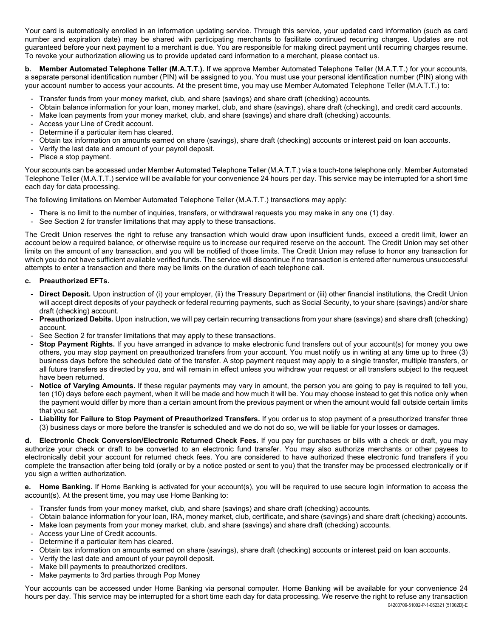Your card is automatically enrolled in an information updating service. Through this service, your updated card information (such as card number and expiration date) may be shared with participating merchants to facilitate continued recurring charges. Updates are not guaranteed before your next payment to a merchant is due. You are responsible for making direct payment until recurring charges resume. To revoke your authorization allowing us to provide updated card information to a merchant, please contact us.

**b. Member Automated Telephone Teller (M.A.T.T.).** If we approve Member Automated Telephone Teller (M.A.T.T.) for your accounts, a separate personal identification number (PIN) will be assigned to you. You must use your personal identification number (PIN) along with your account number to access your accounts. At the present time, you may use Member Automated Telephone Teller (M.A.T.T.) to:

- Transfer funds from your money market, club, and share (savings) and share draft (checking) accounts.
- Obtain balance information for your loan, money market, club, and share (savings), share draft (checking), and credit card accounts.
- Make loan payments from your money market, club, and share (savings) and share draft (checking) accounts.
- Access your Line of Credit account.
- Determine if a particular item has cleared.
- Obtain tax information on amounts earned on share (savings), share draft (checking) accounts or interest paid on loan accounts.
- Verify the last date and amount of your payroll deposit.
- Place a stop payment.

Your accounts can be accessed under Member Automated Telephone Teller (M.A.T.T.) via a touch-tone telephone only. Member Automated Telephone Teller (M.A.T.T.) service will be available for your convenience 24 hours per day. This service may be interrupted for a short time each day for data processing.

The following limitations on Member Automated Telephone Teller (M.A.T.T.) transactions may apply:

- There is no limit to the number of inquiries, transfers, or withdrawal requests you may make in any one (1) day.
- See Section 2 for transfer limitations that may apply to these transactions.

The Credit Union reserves the right to refuse any transaction which would draw upon insufficient funds, exceed a credit limit, lower an account below a required balance, or otherwise require us to increase our required reserve on the account. The Credit Union may set other limits on the amount of any transaction, and you will be notified of those limits. The Credit Union may refuse to honor any transaction for which you do not have sufficient available verified funds. The service will discontinue if no transaction is entered after numerous unsuccessful attempts to enter a transaction and there may be limits on the duration of each telephone call.

### **c. Preauthorized EFTs.**

- **Direct Deposit.** Upon instruction of (i) your employer, (ii) the Treasury Department or (iii) other financial institutions, the Credit Union will accept direct deposits of your paycheck or federal recurring payments, such as Social Security, to your share (savings) and/or share draft (checking) account.
- **Preauthorized Debits.** Upon instruction, we will pay certain recurring transactions from your share (savings) and share draft (checking) account.
- See Section 2 for transfer limitations that may apply to these transactions.
- **Stop Payment Rights.** If you have arranged in advance to make electronic fund transfers out of your account(s) for money you owe others, you may stop payment on preauthorized transfers from your account. You must notify us in writing at any time up to three (3) business days before the scheduled date of the transfer. A stop payment request may apply to a single transfer, multiple transfers, or all future transfers as directed by you, and will remain in effect unless you withdraw your request or all transfers subject to the request have been returned.
- **Notice of Varying Amounts.** If these regular payments may vary in amount, the person you are going to pay is required to tell you, ten (10) days before each payment, when it will be made and how much it will be. You may choose instead to get this notice only when the payment would differ by more than a certain amount from the previous payment or when the amount would fall outside certain limits that you set.
- **Liability for Failure to Stop Payment of Preauthorized Transfers.** If you order us to stop payment of a preauthorized transfer three (3) business days or more before the transfer is scheduled and we do not do so, we will be liable for your losses or damages.

**d. Electronic Check Conversion/Electronic Returned Check Fees.** If you pay for purchases or bills with a check or draft, you may authorize your check or draft to be converted to an electronic fund transfer. You may also authorize merchants or other payees to electronically debit your account for returned check fees. You are considered to have authorized these electronic fund transfers if you complete the transaction after being told (orally or by a notice posted or sent to you) that the transfer may be processed electronically or if you sign a written authorization.

**e. Home Banking.** If Home Banking is activated for your account(s), you will be required to use secure login information to access the account(s). At the present time, you may use Home Banking to:

- Transfer funds from your money market, club, and share (savings) and share draft (checking) accounts.
- Obtain balance information for your loan, IRA, money market, club, certificate, and share (savings) and share draft (checking) accounts.
- Make loan payments from your money market, club, and share (savings) and share draft (checking) accounts.
- Access your Line of Credit accounts.
- Determine if a particular item has cleared.
- Obtain tax information on amounts earned on share (savings), share draft (checking) accounts or interest paid on loan accounts.
- Verify the last date and amount of your payroll deposit.
- Make bill payments to preauthorized creditors.
- Make payments to 3rd parties through Pop Money

Your accounts can be accessed under Home Banking via personal computer. Home Banking will be available for your convenience 24 hours per day. This service may be interrupted for a short time each day for data processing. We reserve the right to refuse any transaction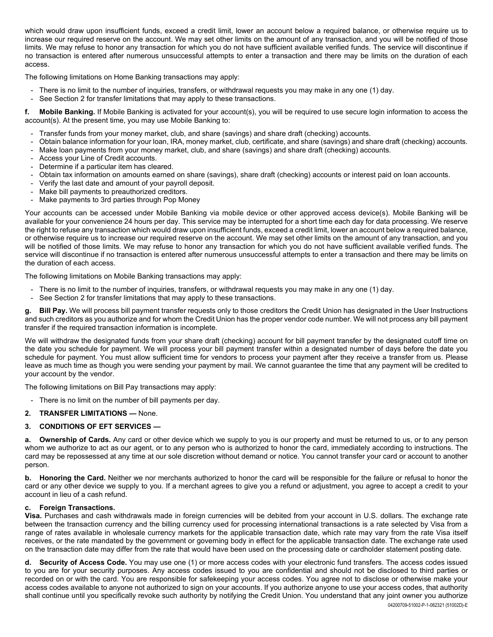which would draw upon insufficient funds, exceed a credit limit, lower an account below a required balance, or otherwise require us to increase our required reserve on the account. We may set other limits on the amount of any transaction, and you will be notified of those limits. We may refuse to honor any transaction for which you do not have sufficient available verified funds. The service will discontinue if no transaction is entered after numerous unsuccessful attempts to enter a transaction and there may be limits on the duration of each access.

The following limitations on Home Banking transactions may apply:

- There is no limit to the number of inquiries, transfers, or withdrawal requests you may make in any one (1) day.
- See Section 2 for transfer limitations that may apply to these transactions.

**f. Mobile Banking.** If Mobile Banking is activated for your account(s), you will be required to use secure login information to access the account(s). At the present time, you may use Mobile Banking to:

- Transfer funds from your money market, club, and share (savings) and share draft (checking) accounts.
- Obtain balance information for your loan, IRA, money market, club, certificate, and share (savings) and share draft (checking) accounts.
- Make loan payments from your money market, club, and share (savings) and share draft (checking) accounts.
- Access your Line of Credit accounts.
- Determine if a particular item has cleared.
- Obtain tax information on amounts earned on share (savings), share draft (checking) accounts or interest paid on loan accounts.
- Verify the last date and amount of your payroll deposit.
- Make bill payments to preauthorized creditors.
- Make payments to 3rd parties through Pop Money

Your accounts can be accessed under Mobile Banking via mobile device or other approved access device(s). Mobile Banking will be available for your convenience 24 hours per day. This service may be interrupted for a short time each day for data processing. We reserve the right to refuse any transaction which would draw upon insufficient funds, exceed a credit limit, lower an account below a required balance, or otherwise require us to increase our required reserve on the account. We may set other limits on the amount of any transaction, and you will be notified of those limits. We may refuse to honor any transaction for which you do not have sufficient available verified funds. The service will discontinue if no transaction is entered after numerous unsuccessful attempts to enter a transaction and there may be limits on the duration of each access.

The following limitations on Mobile Banking transactions may apply:

- There is no limit to the number of inquiries, transfers, or withdrawal requests you may make in any one (1) day.
- See Section 2 for transfer limitations that may apply to these transactions.

**g. Bill Pay.** We will process bill payment transfer requests only to those creditors the Credit Union has designated in the User Instructions and such creditors as you authorize and for whom the Credit Union has the proper vendor code number. We will not process any bill payment transfer if the required transaction information is incomplete.

We will withdraw the designated funds from your share draft (checking) account for bill payment transfer by the designated cutoff time on the date you schedule for payment. We will process your bill payment transfer within a designated number of days before the date you schedule for payment. You must allow sufficient time for vendors to process your payment after they receive a transfer from us. Please leave as much time as though you were sending your payment by mail. We cannot guarantee the time that any payment will be credited to your account by the vendor.

The following limitations on Bill Pay transactions may apply:

- There is no limit on the number of bill payments per day.
- **2. TRANSFER LIMITATIONS —** None.

#### **3. CONDITIONS OF EFT SERVICES —**

**a. Ownership of Cards.** Any card or other device which we supply to you is our property and must be returned to us, or to any person whom we authorize to act as our agent, or to any person who is authorized to honor the card, immediately according to instructions. The card may be repossessed at any time at our sole discretion without demand or notice. You cannot transfer your card or account to another person.

**b. Honoring the Card.** Neither we nor merchants authorized to honor the card will be responsible for the failure or refusal to honor the card or any other device we supply to you. If a merchant agrees to give you a refund or adjustment, you agree to accept a credit to your account in lieu of a cash refund.

#### **c. Foreign Transactions.**

**Visa.** Purchases and cash withdrawals made in foreign currencies will be debited from your account in U.S. dollars. The exchange rate between the transaction currency and the billing currency used for processing international transactions is a rate selected by Visa from a range of rates available in wholesale currency markets for the applicable transaction date, which rate may vary from the rate Visa itself receives, or the rate mandated by the government or governing body in effect for the applicable transaction date. The exchange rate used on the transaction date may differ from the rate that would have been used on the processing date or cardholder statement posting date.

04200709-51002-P-1-062321 (51002D)-E **d. Security of Access Code.** You may use one (1) or more access codes with your electronic fund transfers. The access codes issued to you are for your security purposes. Any access codes issued to you are confidential and should not be disclosed to third parties or recorded on or with the card. You are responsible for safekeeping your access codes. You agree not to disclose or otherwise make your access codes available to anyone not authorized to sign on your accounts. If you authorize anyone to use your access codes, that authority shall continue until you specifically revoke such authority by notifying the Credit Union. You understand that any joint owner you authorize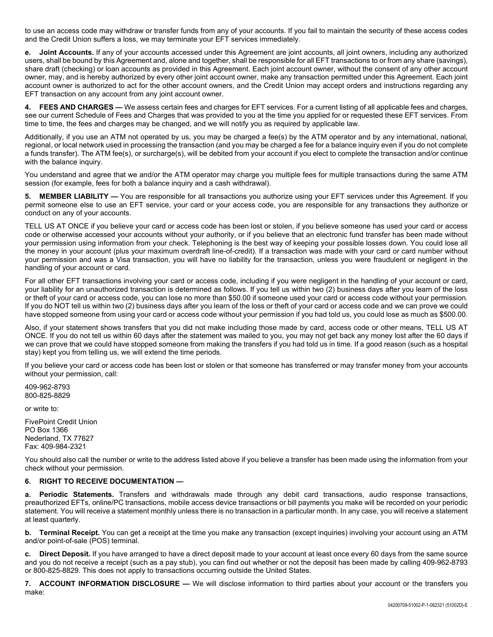to use an access code may withdraw or transfer funds from any of your accounts. If you fail to maintain the security of these access codes and the Credit Union suffers a loss, we may terminate your EFT services immediately.

**e. Joint Accounts.** If any of your accounts accessed under this Agreement are joint accounts, all joint owners, including any authorized users, shall be bound by this Agreement and, alone and together, shall be responsible for all EFT transactions to or from any share (savings), share draft (checking) or loan accounts as provided in this Agreement. Each joint account owner, without the consent of any other account owner, may, and is hereby authorized by every other joint account owner, make any transaction permitted under this Agreement. Each joint account owner is authorized to act for the other account owners, and the Credit Union may accept orders and instructions regarding any EFT transaction on any account from any joint account owner.

**4. FEES AND CHARGES —** We assess certain fees and charges for EFT services. For a current listing of all applicable fees and charges, see our current Schedule of Fees and Charges that was provided to you at the time you applied for or requested these EFT services. From time to time, the fees and charges may be changed, and we will notify you as required by applicable law.

Additionally, if you use an ATM not operated by us, you may be charged a fee(s) by the ATM operator and by any international, national, regional, or local network used in processing the transaction (and you may be charged a fee for a balance inquiry even if you do not complete a funds transfer). The ATM fee(s), or surcharge(s), will be debited from your account if you elect to complete the transaction and/or continue with the balance inquiry.

You understand and agree that we and/or the ATM operator may charge you multiple fees for multiple transactions during the same ATM session (for example, fees for both a balance inquiry and a cash withdrawal).

**5. MEMBER LIABILITY —** You are responsible for all transactions you authorize using your EFT services under this Agreement. If you permit someone else to use an EFT service, your card or your access code, you are responsible for any transactions they authorize or conduct on any of your accounts.

TELL US AT ONCE if you believe your card or access code has been lost or stolen, if you believe someone has used your card or access code or otherwise accessed your accounts without your authority, or if you believe that an electronic fund transfer has been made without your permission using information from your check. Telephoning is the best way of keeping your possible losses down. You could lose all the money in your account (plus your maximum overdraft line-of-credit). If a transaction was made with your card or card number without your permission and was a Visa transaction, you will have no liability for the transaction, unless you were fraudulent or negligent in the handling of your account or card.

For all other EFT transactions involving your card or access code, including if you were negligent in the handling of your account or card, your liability for an unauthorized transaction is determined as follows. If you tell us within two (2) business days after you learn of the loss or theft of your card or access code, you can lose no more than \$50.00 if someone used your card or access code without your permission. If you do NOT tell us within two (2) business days after you learn of the loss or theft of your card or access code and we can prove we could have stopped someone from using your card or access code without your permission if you had told us, you could lose as much as \$500.00.

Also, if your statement shows transfers that you did not make including those made by card, access code or other means, TELL US AT ONCE. If you do not tell us within 60 days after the statement was mailed to you, you may not get back any money lost after the 60 days if we can prove that we could have stopped someone from making the transfers if you had told us in time. If a good reason (such as a hospital stay) kept you from telling us, we will extend the time periods.

If you believe your card or access code has been lost or stolen or that someone has transferred or may transfer money from your accounts without your permission, call:

409-962-8793 800-825-8829

or write to:

FivePoint Credit Union PO Box 1366 Nederland, TX 77627 Fax: 409-984-2321

You should also call the number or write to the address listed above if you believe a transfer has been made using the information from your check without your permission.

## **6. RIGHT TO RECEIVE DOCUMENTATION —**

**a. Periodic Statements.** Transfers and withdrawals made through any debit card transactions, audio response transactions, preauthorized EFTs, online/PC transactions, mobile access device transactions or bill payments you make will be recorded on your periodic statement. You will receive a statement monthly unless there is no transaction in a particular month. In any case, you will receive a statement at least quarterly.

**b. Terminal Receipt.** You can get a receipt at the time you make any transaction (except inquiries) involving your account using an ATM and/or point-of-sale (POS) terminal.

**c. Direct Deposit.** If you have arranged to have a direct deposit made to your account at least once every 60 days from the same source and you do not receive a receipt (such as a pay stub), you can find out whether or not the deposit has been made by calling 409-962-8793 or 800-825-8829. This does not apply to transactions occurring outside the United States.

**7. ACCOUNT INFORMATION DISCLOSURE —** We will disclose information to third parties about your account or the transfers you make: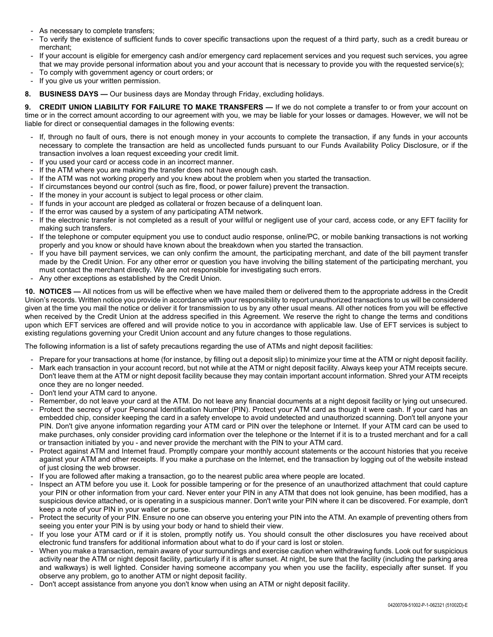- As necessary to complete transfers;
- To verify the existence of sufficient funds to cover specific transactions upon the request of a third party, such as a credit bureau or merchant;
- If your account is eligible for emergency cash and/or emergency card replacement services and you request such services, you agree that we may provide personal information about you and your account that is necessary to provide you with the requested service(s);
- To comply with government agency or court orders; or
- If you give us your written permission.
- **8. BUSINESS DAYS —** Our business days are Monday through Friday, excluding holidays.

**9. CREDIT UNION LIABILITY FOR FAILURE TO MAKE TRANSFERS —** If we do not complete a transfer to or from your account on time or in the correct amount according to our agreement with you, we may be liable for your losses or damages. However, we will not be liable for direct or consequential damages in the following events:

- If, through no fault of ours, there is not enough money in your accounts to complete the transaction, if any funds in your accounts necessary to complete the transaction are held as uncollected funds pursuant to our Funds Availability Policy Disclosure, or if the transaction involves a loan request exceeding your credit limit.
- If you used your card or access code in an incorrect manner.
- If the ATM where you are making the transfer does not have enough cash.
- If the ATM was not working properly and you knew about the problem when you started the transaction.
- If circumstances beyond our control (such as fire, flood, or power failure) prevent the transaction.
- If the money in your account is subject to legal process or other claim.
- If funds in your account are pledged as collateral or frozen because of a delinquent loan.
- If the error was caused by a system of any participating ATM network.
- If the electronic transfer is not completed as a result of your willful or negligent use of your card, access code, or any EFT facility for making such transfers.
- If the telephone or computer equipment you use to conduct audio response, online/PC, or mobile banking transactions is not working properly and you know or should have known about the breakdown when you started the transaction.
- If you have bill payment services, we can only confirm the amount, the participating merchant, and date of the bill payment transfer made by the Credit Union. For any other error or question you have involving the billing statement of the participating merchant, you must contact the merchant directly. We are not responsible for investigating such errors.
- Any other exceptions as established by the Credit Union.

**10. NOTICES —** All notices from us will be effective when we have mailed them or delivered them to the appropriate address in the Credit Union's records. Written notice you provide in accordance with your responsibility to report unauthorized transactions to us will be considered given at the time you mail the notice or deliver it for transmission to us by any other usual means. All other notices from you will be effective when received by the Credit Union at the address specified in this Agreement. We reserve the right to change the terms and conditions upon which EFT services are offered and will provide notice to you in accordance with applicable law. Use of EFT services is subject to existing regulations governing your Credit Union account and any future changes to those regulations.

The following information is a list of safety precautions regarding the use of ATMs and night deposit facilities:

- Prepare for your transactions at home (for instance, by filling out a deposit slip) to minimize your time at the ATM or night deposit facility.
- Mark each transaction in your account record, but not while at the ATM or night deposit facility. Always keep your ATM receipts secure. Don't leave them at the ATM or night deposit facility because they may contain important account information. Shred your ATM receipts once they are no longer needed.
- Don't lend your ATM card to anyone.
- Remember, do not leave your card at the ATM. Do not leave any financial documents at a night deposit facility or lying out unsecured.
- Protect the secrecy of your Personal Identification Number (PIN). Protect your ATM card as though it were cash. If your card has an embedded chip, consider keeping the card in a safety envelope to avoid undetected and unauthorized scanning. Don't tell anyone your PIN. Don't give anyone information regarding your ATM card or PIN over the telephone or Internet. If your ATM card can be used to make purchases, only consider providing card information over the telephone or the Internet if it is to a trusted merchant and for a call or transaction initiated by you - and never provide the merchant with the PIN to your ATM card.
- Protect against ATM and Internet fraud. Promptly compare your monthly account statements or the account histories that you receive against your ATM and other receipts. If you make a purchase on the Internet, end the transaction by logging out of the website instead of just closing the web browser.
- If you are followed after making a transaction, go to the nearest public area where people are located.
- Inspect an ATM before you use it. Look for possible tampering or for the presence of an unauthorized attachment that could capture your PIN or other information from your card. Never enter your PIN in any ATM that does not look genuine, has been modified, has a suspicious device attached, or is operating in a suspicious manner. Don't write your PIN where it can be discovered. For example, don't keep a note of your PIN in your wallet or purse.
- Protect the security of your PIN. Ensure no one can observe you entering your PIN into the ATM. An example of preventing others from seeing you enter your PIN is by using your body or hand to shield their view.
- If you lose your ATM card or if it is stolen, promptly notify us. You should consult the other disclosures you have received about electronic fund transfers for additional information about what to do if your card is lost or stolen.
- When you make a transaction, remain aware of your surroundings and exercise caution when withdrawing funds. Look out for suspicious activity near the ATM or night deposit facility, particularly if it is after sunset. At night, be sure that the facility (including the parking area and walkways) is well lighted. Consider having someone accompany you when you use the facility, especially after sunset. If you observe any problem, go to another ATM or night deposit facility.
- Don't accept assistance from anyone you don't know when using an ATM or night deposit facility.